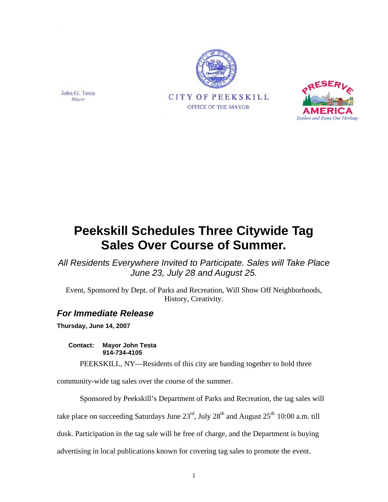





*All Residents Everywhere Invited to Participate. Sales will Take Place June 23, July 28 and August 25.* 

Event, Sponsored by Dept. of Parks and Recreation, Will Show Off Neighborhoods, History, Creativity.

## *For Immediate Release*

**Thursday, June 14, 2007** 

**Contact: Mayor John Testa 914-734-4105** 

PEEKSKILL, NY—Residents of this city are banding together to hold three

community-wide tag sales over the course of the summer.

Sponsored by Peekskill's Department of Parks and Recreation, the tag sales will

take place on succeeding Saturdays June  $23<sup>rd</sup>$ , July  $28<sup>th</sup>$  and August  $25<sup>th</sup>$  10:00 a.m. till

dusk. Participation in the tag sale will be free of charge, and the Department is buying

advertising in local publications known for covering tag sales to promote the event.

John G. Testa Mayor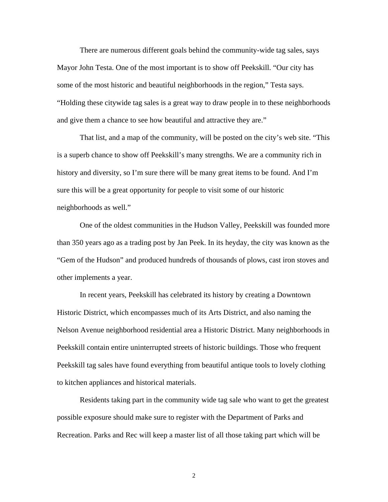There are numerous different goals behind the community-wide tag sales, says Mayor John Testa. One of the most important is to show off Peekskill. "Our city has some of the most historic and beautiful neighborhoods in the region," Testa says. "Holding these citywide tag sales is a great way to draw people in to these neighborhoods and give them a chance to see how beautiful and attractive they are."

That list, and a map of the community, will be posted on the city's web site. "This is a superb chance to show off Peekskill's many strengths. We are a community rich in history and diversity, so I'm sure there will be many great items to be found. And I'm sure this will be a great opportunity for people to visit some of our historic neighborhoods as well."

One of the oldest communities in the Hudson Valley, Peekskill was founded more than 350 years ago as a trading post by Jan Peek. In its heyday, the city was known as the "Gem of the Hudson" and produced hundreds of thousands of plows, cast iron stoves and other implements a year.

In recent years, Peekskill has celebrated its history by creating a Downtown Historic District, which encompasses much of its Arts District, and also naming the Nelson Avenue neighborhood residential area a Historic District. Many neighborhoods in Peekskill contain entire uninterrupted streets of historic buildings. Those who frequent Peekskill tag sales have found everything from beautiful antique tools to lovely clothing to kitchen appliances and historical materials.

Residents taking part in the community wide tag sale who want to get the greatest possible exposure should make sure to register with the Department of Parks and Recreation. Parks and Rec will keep a master list of all those taking part which will be

2